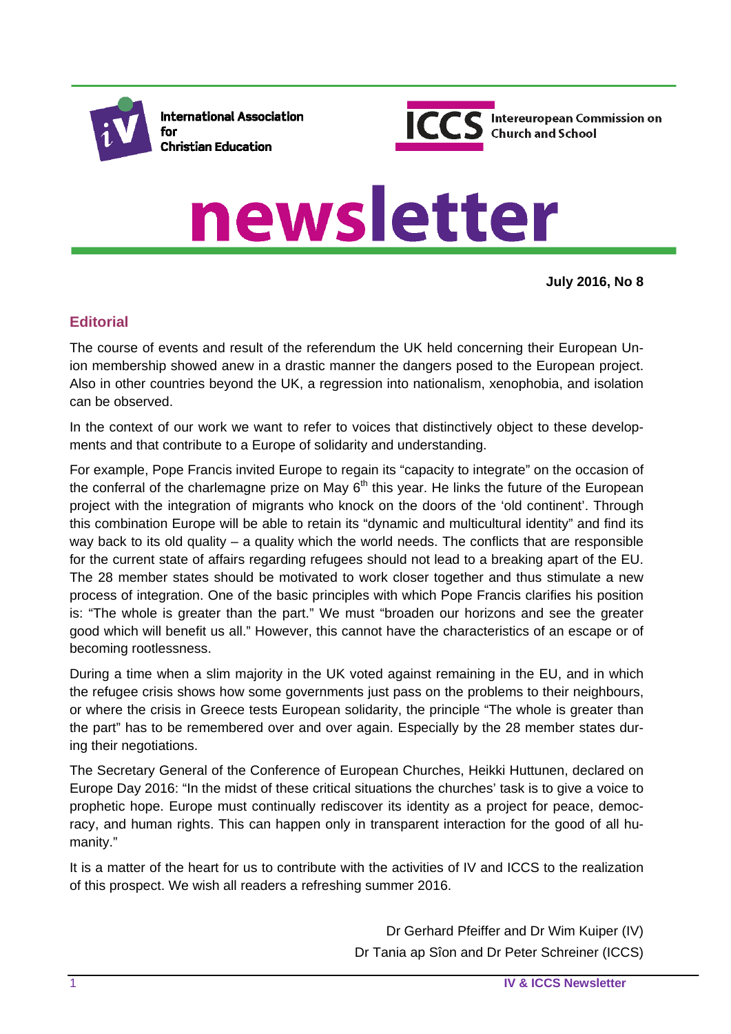

**International Association** for **Christian Education** 



# newsletter

**July 2016, No 8**

# **Editorial**

The course of events and result of the referendum the UK held concerning their European Union membership showed anew in a drastic manner the dangers posed to the European project. Also in other countries beyond the UK, a regression into nationalism, xenophobia, and isolation can be observed.

In the context of our work we want to refer to voices that distinctively object to these developments and that contribute to a Europe of solidarity and understanding.

For example, Pope Francis invited Europe to regain its "capacity to integrate" on the occasion of the conferral of the charlemagne prize on May  $6<sup>th</sup>$  this year. He links the future of the European project with the integration of migrants who knock on the doors of the 'old continent'. Through this combination Europe will be able to retain its "dynamic and multicultural identity" and find its way back to its old quality – a quality which the world needs. The conflicts that are responsible for the current state of affairs regarding refugees should not lead to a breaking apart of the EU. The 28 member states should be motivated to work closer together and thus stimulate a new process of integration. One of the basic principles with which Pope Francis clarifies his position is: "The whole is greater than the part." We must "broaden our horizons and see the greater good which will benefit us all." However, this cannot have the characteristics of an escape or of becoming rootlessness.

During a time when a slim majority in the UK voted against remaining in the EU, and in which the refugee crisis shows how some governments just pass on the problems to their neighbours, or where the crisis in Greece tests European solidarity, the principle "The whole is greater than the part" has to be remembered over and over again. Especially by the 28 member states during their negotiations.

The Secretary General of the Conference of European Churches, Heikki Huttunen, declared on Europe Day 2016: "In the midst of these critical situations the churches' task is to give a voice to prophetic hope. Europe must continually rediscover its identity as a project for peace, democracy, and human rights. This can happen only in transparent interaction for the good of all humanity."

It is a matter of the heart for us to contribute with the activities of IV and ICCS to the realization of this prospect. We wish all readers a refreshing summer 2016.

> Dr Gerhard Pfeiffer and Dr Wim Kuiper (IV) Dr Tania ap Sîon and Dr Peter Schreiner (ICCS)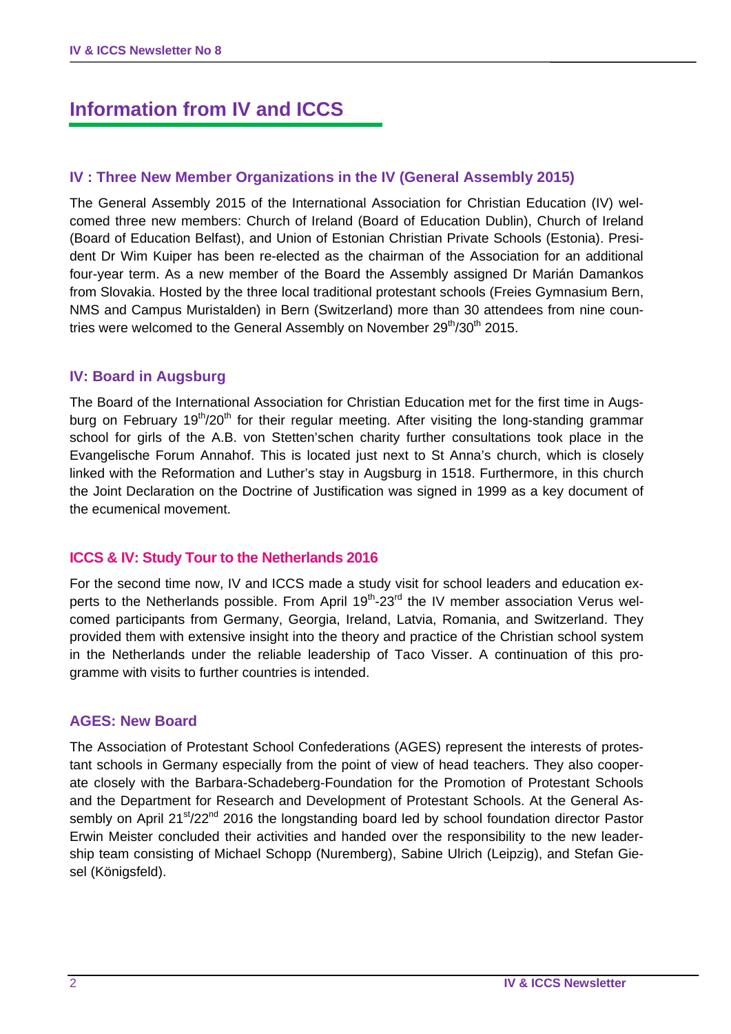# **Information from IV and ICCS**

## **IV : Three New Member Organizations in the IV (General Assembly 2015)**

The General Assembly 2015 of the International Association for Christian Education (IV) welcomed three new members: Church of Ireland (Board of Education Dublin), Church of Ireland (Board of Education Belfast), and Union of Estonian Christian Private Schools (Estonia). President Dr Wim Kuiper has been re-elected as the chairman of the Association for an additional four-year term. As a new member of the Board the Assembly assigned Dr Marián Damankos from Slovakia. Hosted by the three local traditional protestant schools (Freies Gymnasium Bern, NMS and Campus Muristalden) in Bern (Switzerland) more than 30 attendees from nine countries were welcomed to the General Assembly on November 29<sup>th</sup>/30<sup>th</sup> 2015.

#### **IV: Board in Augsburg**

The Board of the International Association for Christian Education met for the first time in Augsburg on February 19<sup>th</sup>/20<sup>th</sup> for their regular meeting. After visiting the long-standing grammar school for girls of the A.B. von Stetten'schen charity further consultations took place in the Evangelische Forum Annahof. This is located just next to St Anna's church, which is closely linked with the Reformation and Luther's stay in Augsburg in 1518. Furthermore, in this church the Joint Declaration on the Doctrine of Justification was signed in 1999 as a key document of the ecumenical movement.

#### **ICCS & IV: Study Tour to the Netherlands 2016**

For the second time now, IV and ICCS made a study visit for school leaders and education experts to the Netherlands possible. From April 19<sup>th</sup>-23<sup>rd</sup> the IV member association Verus welcomed participants from Germany, Georgia, Ireland, Latvia, Romania, and Switzerland. They provided them with extensive insight into the theory and practice of the Christian school system in the Netherlands under the reliable leadership of Taco Visser. A continuation of this programme with visits to further countries is intended.

#### **AGES: New Board**

The Association of Protestant School Confederations (AGES) represent the interests of protestant schools in Germany especially from the point of view of head teachers. They also cooperate closely with the Barbara-Schadeberg-Foundation for the Promotion of Protestant Schools and the Department for Research and Development of Protestant Schools. At the General Assembly on April 21<sup>st</sup>/22<sup>nd</sup> 2016 the longstanding board led by school foundation director Pastor Erwin Meister concluded their activities and handed over the responsibility to the new leadership team consisting of Michael Schopp (Nuremberg), Sabine Ulrich (Leipzig), and Stefan Giesel (Königsfeld).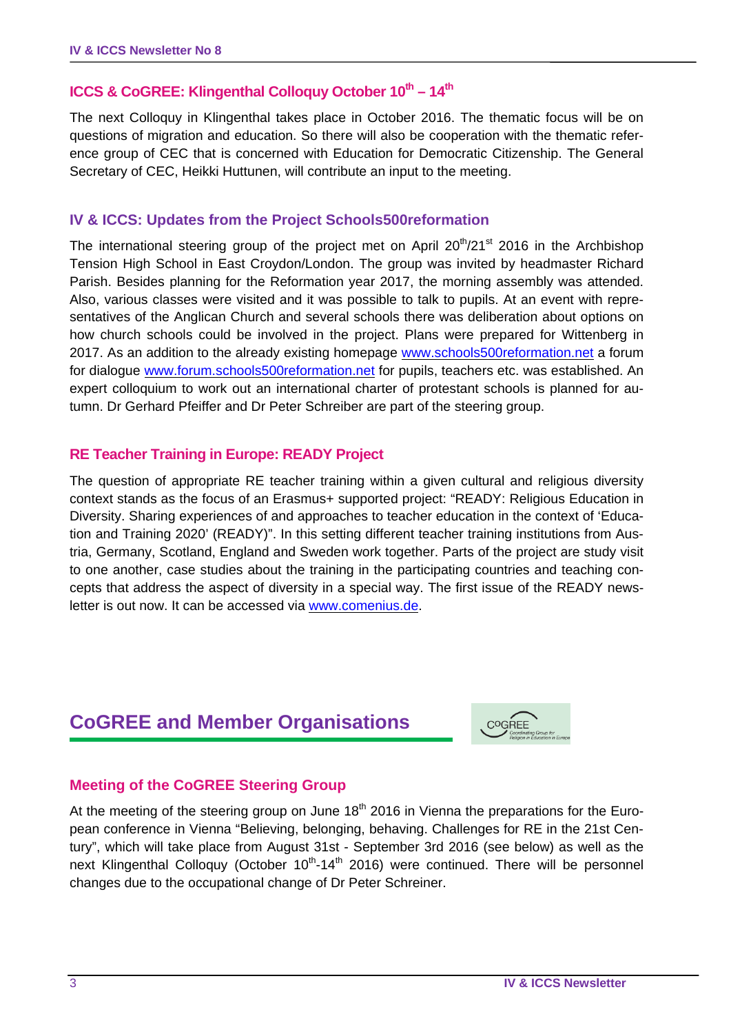# **ICCS & CoGREE: Klingenthal Colloquy October 10<sup>th</sup> - 14<sup>th</sup>**

The next Colloquy in Klingenthal takes place in October 2016. The thematic focus will be on questions of migration and education. So there will also be cooperation with the thematic reference group of CEC that is concerned with Education for Democratic Citizenship. The General Secretary of CEC, Heikki Huttunen, will contribute an input to the meeting.

## **IV & ICCS: Updates from the Project Schools500reformation**

The international steering group of the project met on April  $20^{th}/21^{st}$  2016 in the Archbishop Tension High School in East Croydon/London. The group was invited by headmaster Richard Parish. Besides planning for the Reformation year 2017, the morning assembly was attended. Also, various classes were visited and it was possible to talk to pupils. At an event with representatives of the Anglican Church and several schools there was deliberation about options on how church schools could be involved in the project. Plans were prepared for Wittenberg in 2017. As an addition to the already existing homepage www.schools500reformation.net a forum for dialogue www.forum.schools500reformation.net for pupils, teachers etc. was established. An expert colloquium to work out an international charter of protestant schools is planned for autumn. Dr Gerhard Pfeiffer and Dr Peter Schreiber are part of the steering group.

#### **RE Teacher Training in Europe: READY Project**

The question of appropriate RE teacher training within a given cultural and religious diversity context stands as the focus of an Erasmus+ supported project: "READY: Religious Education in Diversity. Sharing experiences of and approaches to teacher education in the context of 'Education and Training 2020' (READY)". In this setting different teacher training institutions from Austria, Germany, Scotland, England and Sweden work together. Parts of the project are study visit to one another, case studies about the training in the participating countries and teaching concepts that address the aspect of diversity in a special way. The first issue of the READY newsletter is out now. It can be accessed via www.comenius.de.

# **CoGREE and Member Organisations**



## **Meeting of the CoGREE Steering Group**

At the meeting of the steering group on June  $18<sup>th</sup>$  2016 in Vienna the preparations for the European conference in Vienna "Believing, belonging, behaving. Challenges for RE in the 21st Century", which will take place from August 31st - September 3rd 2016 (see below) as well as the next Klingenthal Colloquy (October  $10^{th}$ -14<sup>th</sup> 2016) were continued. There will be personnel changes due to the occupational change of Dr Peter Schreiner.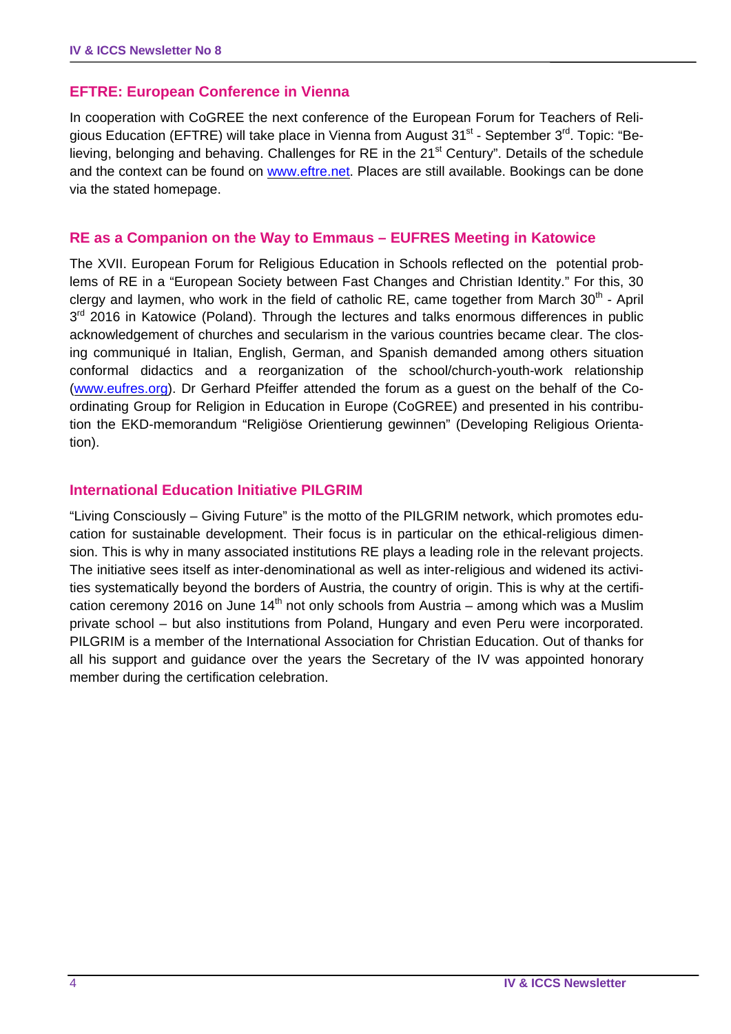## **EFTRE: European Conference in Vienna**

In cooperation with CoGREE the next conference of the European Forum for Teachers of Religious Education (EFTRE) will take place in Vienna from August  $31<sup>st</sup>$  - September  $3<sup>rd</sup>$ . Topic: "Believing, belonging and behaving. Challenges for RE in the 21<sup>st</sup> Century". Details of the schedule and the context can be found on www.eftre.net. Places are still available. Bookings can be done via the stated homepage.

#### **RE as a Companion on the Way to Emmaus – EUFRES Meeting in Katowice**

The XVII. European Forum for Religious Education in Schools reflected on the potential problems of RE in a "European Society between Fast Changes and Christian Identity." For this, 30 clergy and laymen, who work in the field of catholic RE, came together from March  $30<sup>th</sup>$  - April  $3<sup>rd</sup>$  2016 in Katowice (Poland). Through the lectures and talks enormous differences in public acknowledgement of churches and secularism in the various countries became clear. The closing communiqué in Italian, English, German, and Spanish demanded among others situation conformal didactics and a reorganization of the school/church-youth-work relationship (www.eufres.org). Dr Gerhard Pfeiffer attended the forum as a guest on the behalf of the Coordinating Group for Religion in Education in Europe (CoGREE) and presented in his contribution the EKD-memorandum "Religiöse Orientierung gewinnen" (Developing Religious Orientation).

#### **International Education Initiative PILGRIM**

"Living Consciously – Giving Future" is the motto of the PILGRIM network, which promotes education for sustainable development. Their focus is in particular on the ethical-religious dimension. This is why in many associated institutions RE plays a leading role in the relevant projects. The initiative sees itself as inter-denominational as well as inter-religious and widened its activities systematically beyond the borders of Austria, the country of origin. This is why at the certification ceremony 2016 on June  $14<sup>th</sup>$  not only schools from Austria – among which was a Muslim private school – but also institutions from Poland, Hungary and even Peru were incorporated. PILGRIM is a member of the International Association for Christian Education. Out of thanks for all his support and guidance over the years the Secretary of the IV was appointed honorary member during the certification celebration.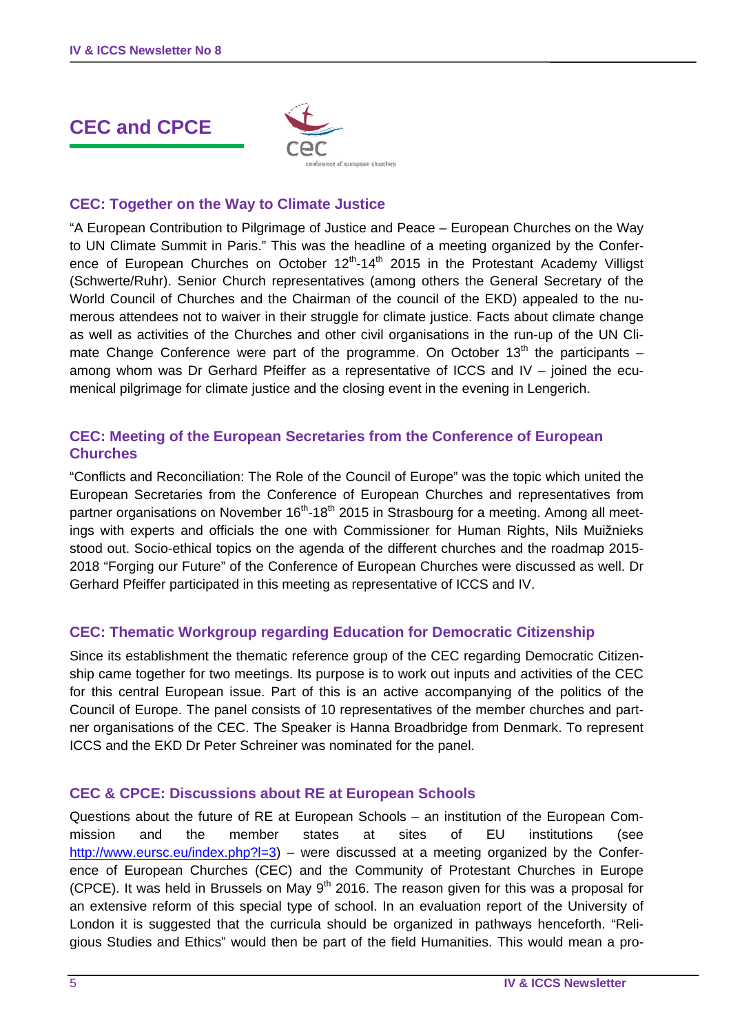# **CEC and CPCE**



## **CEC: Together on the Way to Climate Justice**

"A European Contribution to Pilgrimage of Justice and Peace – European Churches on the Way to UN Climate Summit in Paris." This was the headline of a meeting organized by the Conference of European Churches on October  $12<sup>th</sup>$ -14<sup>th</sup> 2015 in the Protestant Academy Villigst (Schwerte/Ruhr). Senior Church representatives (among others the General Secretary of the World Council of Churches and the Chairman of the council of the EKD) appealed to the numerous attendees not to waiver in their struggle for climate justice. Facts about climate change as well as activities of the Churches and other civil organisations in the run-up of the UN Climate Change Conference were part of the programme. On October  $13<sup>th</sup>$  the participants – among whom was Dr Gerhard Pfeiffer as a representative of ICCS and IV – joined the ecumenical pilgrimage for climate justice and the closing event in the evening in Lengerich.

#### **CEC: Meeting of the European Secretaries from the Conference of European Churches**

"Conflicts and Reconciliation: The Role of the Council of Europe" was the topic which united the European Secretaries from the Conference of European Churches and representatives from partner organisations on November  $16<sup>th</sup>$ -18<sup>th</sup> 2015 in Strasbourg for a meeting. Among all meetings with experts and officials the one with Commissioner for Human Rights, Nils Muižnieks stood out. Socio-ethical topics on the agenda of the different churches and the roadmap 2015- 2018 "Forging our Future" of the Conference of European Churches were discussed as well. Dr Gerhard Pfeiffer participated in this meeting as representative of ICCS and IV.

#### **CEC: Thematic Workgroup regarding Education for Democratic Citizenship**

Since its establishment the thematic reference group of the CEC regarding Democratic Citizenship came together for two meetings. Its purpose is to work out inputs and activities of the CEC for this central European issue. Part of this is an active accompanying of the politics of the Council of Europe. The panel consists of 10 representatives of the member churches and partner organisations of the CEC. The Speaker is Hanna Broadbridge from Denmark. To represent ICCS and the EKD Dr Peter Schreiner was nominated for the panel.

#### **CEC & CPCE: Discussions about RE at European Schools**

Questions about the future of RE at European Schools – an institution of the European Commission and the member states at sites of EU institutions (see http://www.eursc.eu/index.php?l=3) – were discussed at a meeting organized by the Conference of European Churches (CEC) and the Community of Protestant Churches in Europe (CPCE). It was held in Brussels on May  $9<sup>th</sup>$  2016. The reason given for this was a proposal for an extensive reform of this special type of school. In an evaluation report of the University of London it is suggested that the curricula should be organized in pathways henceforth. "Religious Studies and Ethics" would then be part of the field Humanities. This would mean a pro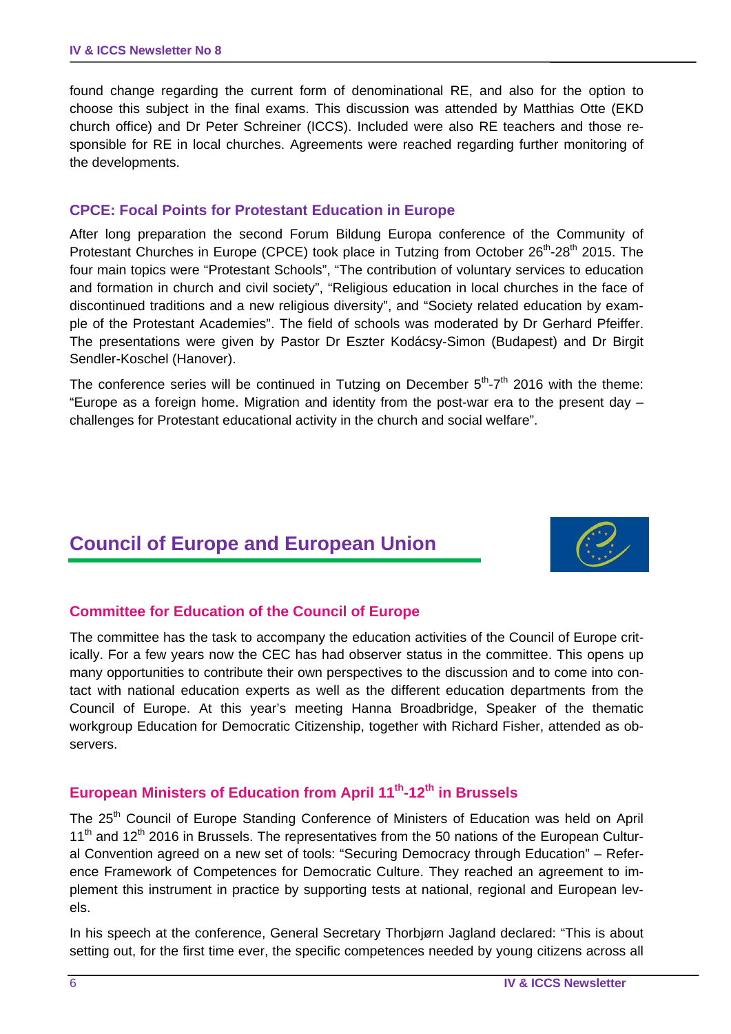found change regarding the current form of denominational RE, and also for the option to choose this subject in the final exams. This discussion was attended by Matthias Otte (EKD church office) and Dr Peter Schreiner (ICCS). Included were also RE teachers and those responsible for RE in local churches. Agreements were reached regarding further monitoring of the developments.

#### **CPCE: Focal Points for Protestant Education in Europe**

After long preparation the second Forum Bildung Europa conference of the Community of Protestant Churches in Europe (CPCE) took place in Tutzing from October 26<sup>th</sup>-28<sup>th</sup> 2015. The four main topics were "Protestant Schools", "The contribution of voluntary services to education and formation in church and civil society", "Religious education in local churches in the face of discontinued traditions and a new religious diversity", and "Society related education by example of the Protestant Academies". The field of schools was moderated by Dr Gerhard Pfeiffer. The presentations were given by Pastor Dr Eszter Kodácsy-Simon (Budapest) and Dr Birgit Sendler-Koschel (Hanover).

The conference series will be continued in Tutzing on December  $5<sup>th</sup> - 7<sup>th</sup>$  2016 with the theme: "Europe as a foreign home. Migration and identity from the post-war era to the present day – challenges for Protestant educational activity in the church and social welfare".

# **Council of Europe and European Union**



## **Committee for Education of the Council of Europe**

The committee has the task to accompany the education activities of the Council of Europe critically. For a few years now the CEC has had observer status in the committee. This opens up many opportunities to contribute their own perspectives to the discussion and to come into contact with national education experts as well as the different education departments from the Council of Europe. At this year's meeting Hanna Broadbridge, Speaker of the thematic workgroup Education for Democratic Citizenship, together with Richard Fisher, attended as observers.

# **European Ministers of Education from April 11th-12th in Brussels**

The 25<sup>th</sup> Council of Europe Standing Conference of Ministers of Education was held on April  $11<sup>th</sup>$  and  $12<sup>th</sup>$  2016 in Brussels. The representatives from the 50 nations of the European Cultural Convention agreed on a new set of tools: "Securing Democracy through Education" – Reference Framework of Competences for Democratic Culture. They reached an agreement to implement this instrument in practice by supporting tests at national, regional and European levels.

In his speech at the conference, General Secretary Thorbjørn Jagland declared: "This is about setting out, for the first time ever, the specific competences needed by young citizens across all